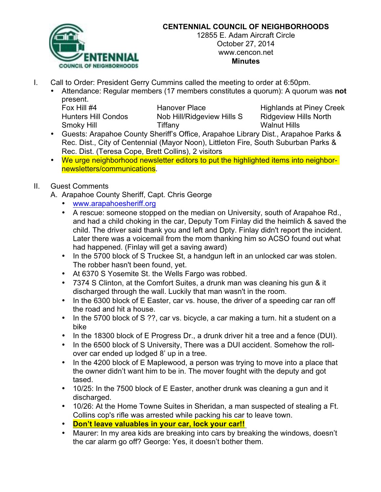

## **CENTENNIAL COUNCIL OF NEIGHBORHOODS**

12855 E. Adam Aircraft Circle October 27, 2014 www.cencon.net **Minutes**

- I. Call to Order: President Gerry Cummins called the meeting to order at 6:50pm.
	- Attendance: Regular members (17 members constitutes a quorum): A quorum was **not** present.

| Fox Hill $#4$              |
|----------------------------|
| <b>Hunters Hill Condos</b> |
| Smoky Hill                 |

Nob Hill/Ridgeview Hills S Ridgeview Hills North Tiffany **Walnut Hills** 

Hanover Place Highlands at Piney Creek

- Guests: Arapahoe County Sheriff's Office, Arapahoe Library Dist., Arapahoe Parks & Rec. Dist., City of Centennial (Mayor Noon), Littleton Fire, South Suburban Parks & Rec. Dist. (Teresa Cope, Brett Collins), 2 visitors
- We urge neighborhood newsletter editors to put the highlighted items into neighbornewsletters/communications.

# II. Guest Comments

- A. Arapahoe County Sheriff, Capt. Chris George
	- www.arapahoesheriff.org
	- A rescue: someone stopped on the median on University, south of Arapahoe Rd., and had a child choking in the car, Deputy Tom Finlay did the heimlich & saved the child. The driver said thank you and left and Dpty. Finlay didn't report the incident. Later there was a voicemail from the mom thanking him so ACSO found out what had happened. (Finlay will get a saving award)
	- In the 5700 block of S Truckee St, a handgun left in an unlocked car was stolen. The robber hasn't been found, yet.
	- At 6370 S Yosemite St. the Wells Fargo was robbed.
	- 7374 S Clinton, at the Comfort Suites, a drunk man was cleaning his gun & it discharged through the wall. Luckily that man wasn't in the room.
	- In the 6300 block of E Easter, car vs. house, the driver of a speeding car ran off the road and hit a house.
	- In the 5700 block of S ??, car vs. bicycle, a car making a turn. hit a student on a bike
	- In the 18300 block of E Progress Dr., a drunk driver hit a tree and a fence (DUI).
	- In the 6500 block of S University, There was a DUI accident. Somehow the rollover car ended up lodged 8' up in a tree.
	- In the 4200 block of E Maplewood, a person was trying to move into a place that the owner didn't want him to be in. The mover fought with the deputy and got tased.
	- 10/25: In the 7500 block of E Easter, another drunk was cleaning a gun and it discharged.
	- 10/26: At the Home Towne Suites in Sheridan, a man suspected of stealing a Ft. Collins cop's rifle was arrested while packing his car to leave town.
	- **Don't leave valuables in your car, lock your car!!**
	- Maurer: In my area kids are breaking into cars by breaking the windows, doesn't the car alarm go off? George: Yes, it doesn't bother them.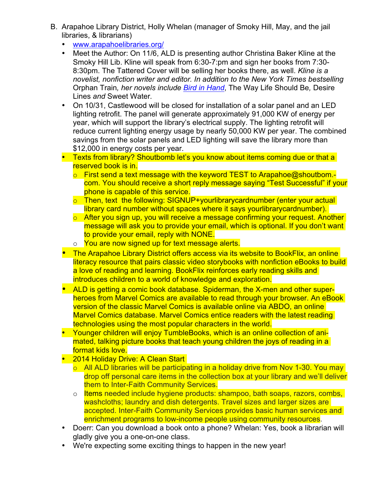- B. Arapahoe Library District, Holly Whelan (manager of Smoky Hill, May, and the jail libraries, & librarians)
	- www.arapahoelibraries.org/
	- Meet the Author: On 11/6, ALD is presenting author Christina Baker Kline at the Smoky Hill Lib. Kline will speak from 6:30-7:pm and sign her books from 7:30- 8:30pm. The Tattered Cover will be selling her books there, as well. *Kline is a novelist, nonfiction writer and editor. In addition to the New York Times bestselling* Orphan Train*, her novels include Bird in Hand*, The Way Life Should Be*,* Desire Lines *and* Sweet Water*.*
	- On 10/31, Castlewood will be closed for installation of a solar panel and an LED lighting retrofit. The panel will generate approximately 91,000 KW of energy per year, which will support the library's electrical supply. The lighting retrofit will reduce current lighting energy usage by nearly 50,000 KW per year. The combined savings from the solar panels and LED lighting will save the library more than \$12,000 in energy costs per year.
	- Texts from library? Shoutbomb let's you know about items coming due or that a reserved book is in.
		- o First send a text message with the keyword TEST to Arapahoe@shoutbom. com. You should receive a short reply message saying "Test Successful" if your phone is capable of this service.
		- o Then, text the following: SIGNUP+yourlibrarycardnumber (enter your actual library card number without spaces where it says yourlibrarycardnumber).
		- o After you sign up, you will receive a message confirming your request. Another message will ask you to provide your email, which is optional. If you don't want to provide your email, reply with NONE.
		- o You are now signed up for text message alerts.
	- The Arapahoe Library District offers access via its website to BookFlix, an online literacy resource that pairs classic video storybooks with nonfiction eBooks to build a love of reading and learning. BookFlix reinforces early reading skills and introduces children to a world of knowledge and exploration.
	- ALD is getting a comic book database. Spiderman, the X-men and other superheroes from Marvel Comics are available to read through your browser. An eBook version of the classic Marvel Comics is available online via ABDO, an online Marvel Comics database. Marvel Comics entice readers with the latest reading technologies using the most popular characters in the world.
	- Younger children will enjoy TumbleBooks, which is an online collection of animated, talking picture books that teach young children the joys of reading in a format kids love.
	- 2014 Holiday Drive: A Clean Start
		- $\circ$  All ALD libraries will be participating in a holiday drive from Nov 1-30. You may drop off personal care items in the collection box at your library and we'll deliver them to Inter-Faith Community Services.
		- o Items needed include hygiene products: shampoo, bath soaps, razors, combs, washcloths; laundry and dish detergents. Travel sizes and larger sizes are accepted. Inter-Faith Community Services provides basic human services and enrichment programs to low-income people using community resources.
	- Doerr: Can you download a book onto a phone? Whelan: Yes, book a librarian will gladly give you a one-on-one class.
	- We're expecting some exciting things to happen in the new year!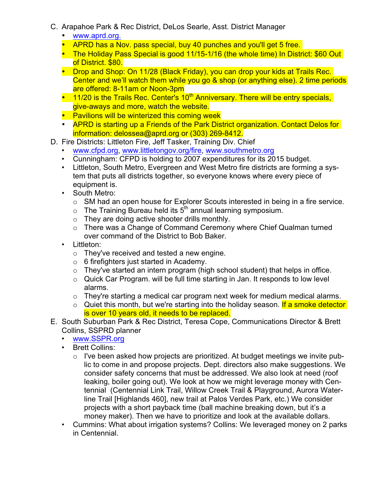- C. Arapahoe Park & Rec District, DeLos Searle, Asst. District Manager
	- www.aprd.org.
	- APRD has a Nov. pass special, buy 40 punches and you'll get 5 free.
	- The Holiday Pass Special is good 11/15-1/16 (the whole time) In District: \$60 Out of District. \$80.
	- Drop and Shop: On 11/28 (Black Friday), you can drop your kids at Trails Rec. Center and we'll watch them while you go & shop (or anything else). 2 time periods are offered: 8-11am or Noon-3pm
	- 11/20 is the Trails Rec. Center's  $10<sup>th</sup>$  Anniversary. There will be entry specials, give-aways and more, watch the website.
	- Pavilions will be winterized this coming week
	- APRD is starting up a Friends of the Park District organization. Contact Delos for information: delossea@aprd.org or (303) 269-8412.
- D. Fire Districts: Littleton Fire, Jeff Tasker, Training Div. Chief
	- www.cfpd.org, www.littletongov.org/fire, www.southmetro.org
	- Cunningham: CFPD is holding to 2007 expenditures for its 2015 budget.
	- Littleton, South Metro, Evergreen and West Metro fire districts are forming a system that puts all districts together, so everyone knows where every piece of equipment is.
	- South Metro:
		- o SM had an open house for Explorer Scouts interested in being in a fire service.
		- $\circ$  The Training Bureau held its  $5<sup>th</sup>$  annual learning symposium.
		- o They are doing active shooter drills monthly.
		- o There was a Change of Command Ceremony where Chief Qualman turned over command of the District to Bob Baker.
	- Littleton:
		- o They've received and tested a new engine.
		- $\circ$  6 firefighters just started in Academy.
		- $\circ$  They've started an intern program (high school student) that helps in office.
		- $\circ$  Quick Car Program. will be full time starting in Jan. It responds to low level alarms.
		- $\circ$  They're starting a medical car program next week for medium medical alarms.
		- $\circ$  Quiet this month, but we're starting into the holiday season. If a smoke detector is over 10 years old, it needs to be replaced.
- E. South Suburban Park & Rec District, Teresa Cope, Communications Director & Brett Collins, SSPRD planner
	- www.SSPR.org
	- Brett Collins:
		- o I've been asked how projects are prioritized. At budget meetings we invite public to come in and propose projects. Dept. directors also make suggestions. We consider safety concerns that must be addressed. We also look at need (roof leaking, boiler going out). We look at how we might leverage money with Centennial (Centennial Link Trail, Willow Creek Trail & Playground, Aurora Waterline Trail [Highlands 460], new trail at Palos Verdes Park, etc.) We consider projects with a short payback time (ball machine breaking down, but it's a money maker). Then we have to prioritize and look at the available dollars.
	- Cummins: What about irrigation systems? Collins: We leveraged money on 2 parks in Centennial.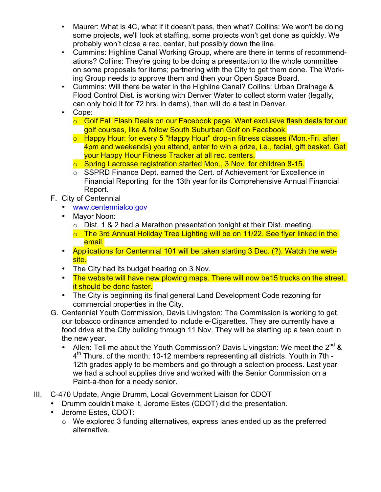- Maurer: What is 4C, what if it doesn't pass, then what? Collins: We won't be doing some projects, we'll look at staffing, some projects won't get done as quickly. We probably won't close a rec. center, but possibly down the line.
- Cummins: Highline Canal Working Group, where are there in terms of recommendations? Collins: They're going to be doing a presentation to the whole committee on some proposals for items; partnering with the City to get them done. The Working Group needs to approve them and then your Open Space Board.
- Cummins: Will there be water in the Highline Canal? Collins: Urban Drainage & Flood Control Dist. is working with Denver Water to collect storm water (legally, can only hold it for 72 hrs. in dams), then will do a test in Denver.
- Cope:
	- o Golf Fall Flash Deals on our Facebook page. Want exclusive flash deals for our golf courses, like & follow South Suburban Golf on Facebook.
	- o Happy Hour: for every 5 "Happy Hour" drop-in fitness classes (Mon.-Fri. after 4pm and weekends) you attend, enter to win a prize, i.e., facial, gift basket. Get your Happy Hour Fitness Tracker at all rec. centers.
	- o Spring Lacrosse registration started Mon., 3 Nov. for children 8-15.
	- o SSPRD Finance Dept. earned the Cert. of Achievement for Excellence in Financial Reporting for the 13th year for its Comprehensive Annual Financial Report.
- F. City of Centennial
	- www.centennialco.gov
	- Mayor Noon:
		- $\circ$  Dist. 1 & 2 had a Marathon presentation tonight at their Dist. meeting.
		- $\circ$  The 3rd Annual Holiday Tree Lighting will be on 11/22. See flyer linked in the email.
	- Applications for Centennial 101 will be taken starting 3 Dec. (?). Watch the website.
	- The City had its budget hearing on 3 Nov.
	- The website will have new plowing maps. There will now be15 trucks on the street. it should be done faster.
	- The City is beginning its final general Land Development Code rezoning for commercial properties in the City.
- G. Centennial Youth Commission, Davis Livingston: The Commission is working to get our tobacco ordinance amended to include e-Cigarettes. They are currently have a food drive at the City building through 11 Nov. They will be starting up a teen court in the new year.
	- Allen: Tell me about the Youth Commission? Davis Livingston: We meet the  $2^{nd}$  &  $4<sup>th</sup>$  Thurs. of the month; 10-12 members representing all districts. Youth in 7th -12th grades apply to be members and go through a selection process. Last year we had a school supplies drive and worked with the Senior Commission on a Paint-a-thon for a needy senior.
- III. C-470 Update, Angie Drumm, Local Government Liaison for CDOT
	- Drumm couldn't make it, Jerome Estes (CDOT) did the presentation.
	- Jerome Estes, CDOT:
		- o We explored 3 funding alternatives, express lanes ended up as the preferred alternative.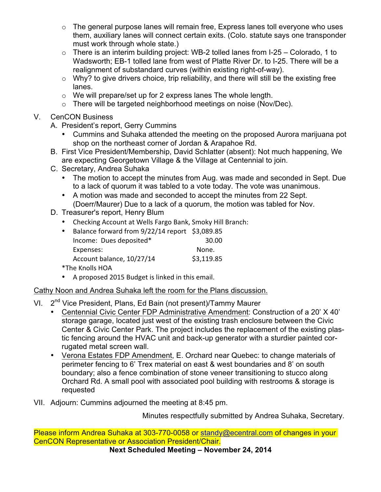- $\circ$  The general purpose lanes will remain free, Express lanes toll everyone who uses them, auxiliary lanes will connect certain exits. (Colo. statute says one transponder must work through whole state.)
- $\circ$  There is an interim building project: WB-2 tolled lanes from I-25 Colorado, 1 to Wadsworth; EB-1 tolled lane from west of Platte River Dr. to I-25. There will be a realignment of substandard curves (within existing right-of-way).
- o Why? to give drivers choice, trip reliability, and there will still be the existing free lanes.
- o We will prepare/set up for 2 express lanes The whole length.
- o There will be targeted neighborhood meetings on noise (Nov/Dec).

### V. CenCON Business

- A. President's report, Gerry Cummins
	- Cummins and Suhaka attended the meeting on the proposed Aurora marijuana pot shop on the northeast corner of Jordan & Arapahoe Rd.
- B. First Vice President/Membership, David Schlatter (absent): Not much happening, We are expecting Georgetown Village & the Village at Centennial to join.
- C. Secretary, Andrea Suhaka
	- The motion to accept the minutes from Aug. was made and seconded in Sept. Due to a lack of quorum it was tabled to a vote today. The vote was unanimous.
	- A motion was made and seconded to accept the minutes from 22 Sept. (Doerr/Maurer) Due to a lack of a quorum, the motion was tabled for Nov.
- D. Treasurer's report, Henry Blum
	- Checking Account at Wells Fargo Bank, Smoky Hill Branch:

| $\bullet$ | Balance forward from 9/22/14 report \$3,089.85 |            |
|-----------|------------------------------------------------|------------|
|           | Income: Dues deposited*                        | 30.00      |
|           | Expenses:                                      | None.      |
|           | Account balance, 10/27/14                      | \$3,119.85 |
|           | *The Knolls HOA                                |            |

• A proposed 2015 Budget is linked in this email.

### Cathy Noon and Andrea Suhaka left the room for the Plans discussion.

- VI. 2<sup>nd</sup> Vice President, Plans, Ed Bain (not present)/Tammy Maurer
	- Centennial Civic Center FDP Administrative Amendment: Construction of a 20' X 40' storage garage, located just west of the existing trash enclosure between the Civic Center & Civic Center Park. The project includes the replacement of the existing plastic fencing around the HVAC unit and back-up generator with a sturdier painted corrugated metal screen wall.
	- Verona Estates FDP Amendment, E. Orchard near Quebec: to change materials of perimeter fencing to 6' Trex material on east & west boundaries and 8' on south boundary; also a fence combination of stone veneer transitioning to stucco along Orchard Rd. A small pool with associated pool building with restrooms & storage is requested
- VII. Adjourn: Cummins adjourned the meeting at 8:45 pm.

Minutes respectfully submitted by Andrea Suhaka, Secretary.

Please inform Andrea Suhaka at 303-770-0058 or standy@ecentral.com of changes in your CenCON Representative or Association President/Chair.

**Next Scheduled Meeting – November 24, 2014**